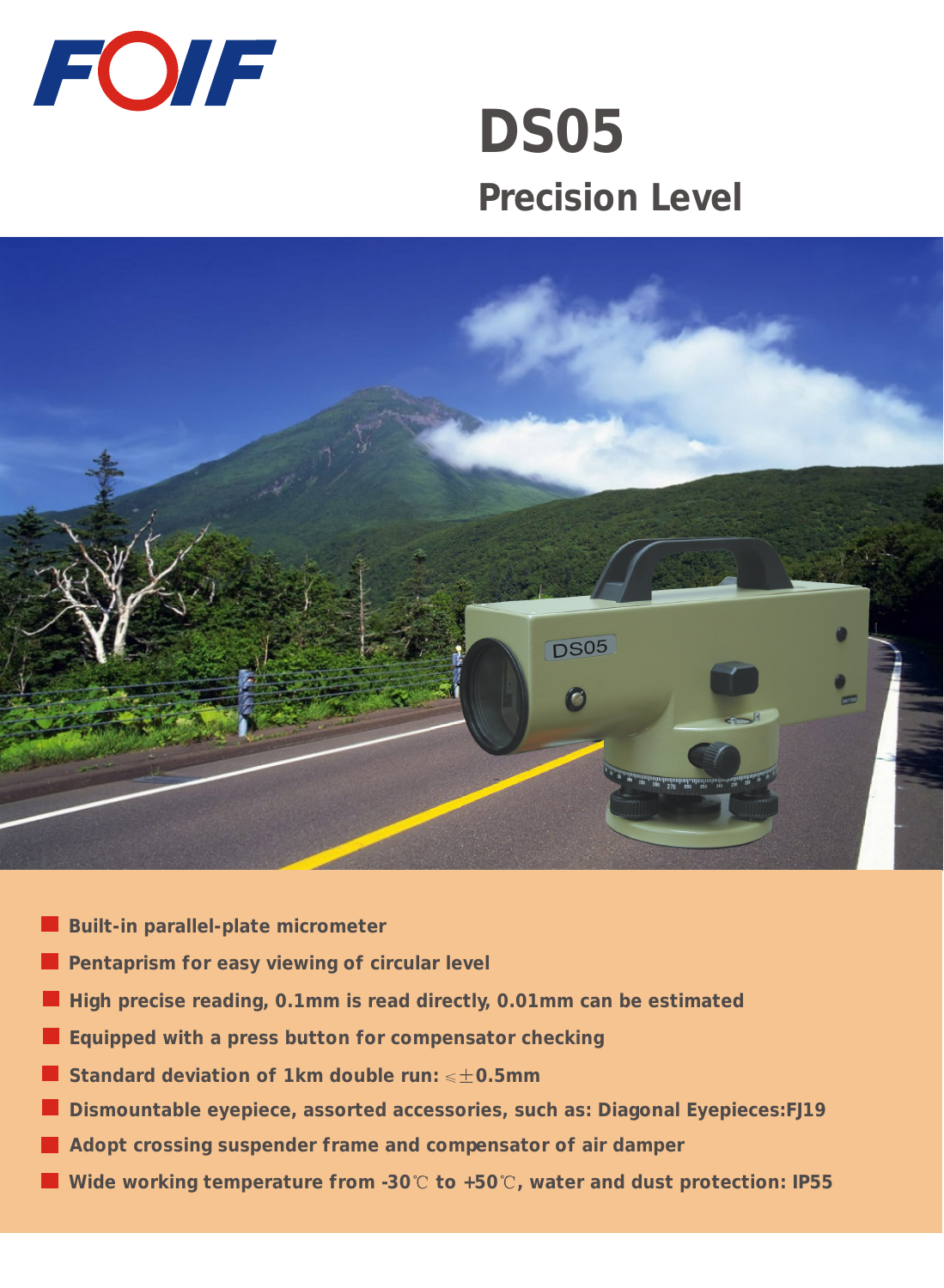

# **DS05 Precision Level**



- **Built-in parallel-plate micrometer**
- **Pentaprism for easy viewing of circular level**
- **High precise reading, 0.1mm is read directly, 0.01mm can be estimated**
- **Equipped with a press button for compensator checking**
- **Standard deviation of 1km double run: 0.5mm**
- **Dismountable eyepiece, assorted accessories, such as: Diagonal Eyepieces:FJ19**
- **Adopt crossing suspender frame and compensator of air damper**
- Wide working temperature from -30°C to +50°C, water and dust protection: IP55